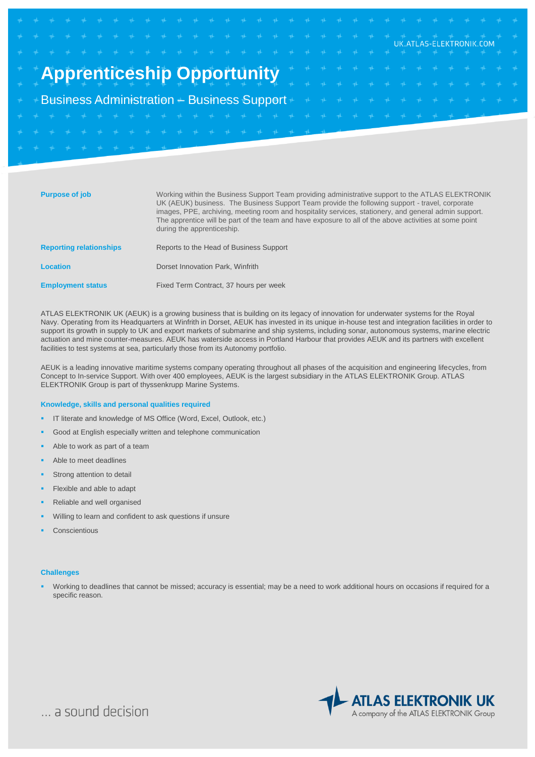|  |                                                                               |  |  |  |  |  |  |  |  |  |  |  |  |  | UK ATI AS-ELEKTRONIK.COM                                                                                                                                                                                                         |                                                                    |
|--|-------------------------------------------------------------------------------|--|--|--|--|--|--|--|--|--|--|--|--|--|----------------------------------------------------------------------------------------------------------------------------------------------------------------------------------------------------------------------------------|--------------------------------------------------------------------|
|  |                                                                               |  |  |  |  |  |  |  |  |  |  |  |  |  |                                                                                                                                                                                                                                  |                                                                    |
|  |                                                                               |  |  |  |  |  |  |  |  |  |  |  |  |  |                                                                                                                                                                                                                                  | <b>Apprenticeship Opportunity</b> And the test test test test test |
|  |                                                                               |  |  |  |  |  |  |  |  |  |  |  |  |  | $\mathbf{a}$ at a the state at a the state of the state of the state of the state of the state of the state of the state of the state of the state of the state of the state of the state of the state of the state of the state |                                                                    |
|  | + + Business Administration + Business Support+ + + + + + + + + + + + + + + + |  |  |  |  |  |  |  |  |  |  |  |  |  |                                                                                                                                                                                                                                  |                                                                    |
|  |                                                                               |  |  |  |  |  |  |  |  |  |  |  |  |  |                                                                                                                                                                                                                                  |                                                                    |
|  |                                                                               |  |  |  |  |  |  |  |  |  |  |  |  |  |                                                                                                                                                                                                                                  |                                                                    |
|  | <b>+ + + + + + + + + + +</b>                                                  |  |  |  |  |  |  |  |  |  |  |  |  |  |                                                                                                                                                                                                                                  |                                                                    |
|  |                                                                               |  |  |  |  |  |  |  |  |  |  |  |  |  |                                                                                                                                                                                                                                  |                                                                    |

| <b>Purpose of job</b>          | Working within the Business Support Team providing administrative support to the ATLAS ELEKTRONIK<br>UK (AEUK) business. The Business Support Team provide the following support - travel, corporate<br>images, PPE, archiving, meeting room and hospitality services, stationery, and general admin support.<br>The apprentice will be part of the team and have exposure to all of the above activities at some point<br>during the apprenticeship. |
|--------------------------------|-------------------------------------------------------------------------------------------------------------------------------------------------------------------------------------------------------------------------------------------------------------------------------------------------------------------------------------------------------------------------------------------------------------------------------------------------------|
| <b>Reporting relationships</b> | Reports to the Head of Business Support                                                                                                                                                                                                                                                                                                                                                                                                               |
| <b>Location</b>                | Dorset Innovation Park, Winfrith                                                                                                                                                                                                                                                                                                                                                                                                                      |
| <b>Employment status</b>       | Fixed Term Contract, 37 hours per week                                                                                                                                                                                                                                                                                                                                                                                                                |

ATLAS ELEKTRONIK UK (AEUK) is a growing business that is building on its legacy of innovation for underwater systems for the Royal Navy. Operating from its Headquarters at Winfrith in Dorset, AEUK has invested in its unique in-house test and integration facilities in order to support its growth in supply to UK and export markets of submarine and ship systems, including sonar, autonomous systems, marine electric actuation and mine counter-measures. AEUK has waterside access in Portland Harbour that provides AEUK and its partners with excellent facilities to test systems at sea, particularly those from its Autonomy portfolio.

AEUK is a leading innovative maritime systems company operating throughout all phases of the acquisition and engineering lifecycles, from Concept to In-service Support. With over 400 employees, AEUK is the largest subsidiary in the ATLAS ELEKTRONIK Group. ATLAS ELEKTRONIK Group is part of thyssenkrupp Marine Systems.

### **Knowledge, skills and personal qualities required**

- IT literate and knowledge of MS Office (Word, Excel, Outlook, etc.)
- Good at English especially written and telephone communication
- Able to work as part of a team
- Able to meet deadlines
- Strong attention to detail
- Flexible and able to adapt
- Reliable and well organised
- Willing to learn and confident to ask questions if unsure
- Conscientious

#### **Challenges**

 Working to deadlines that cannot be missed; accuracy is essential; may be a need to work additional hours on occasions if required for a specific reason.



... a sound decision